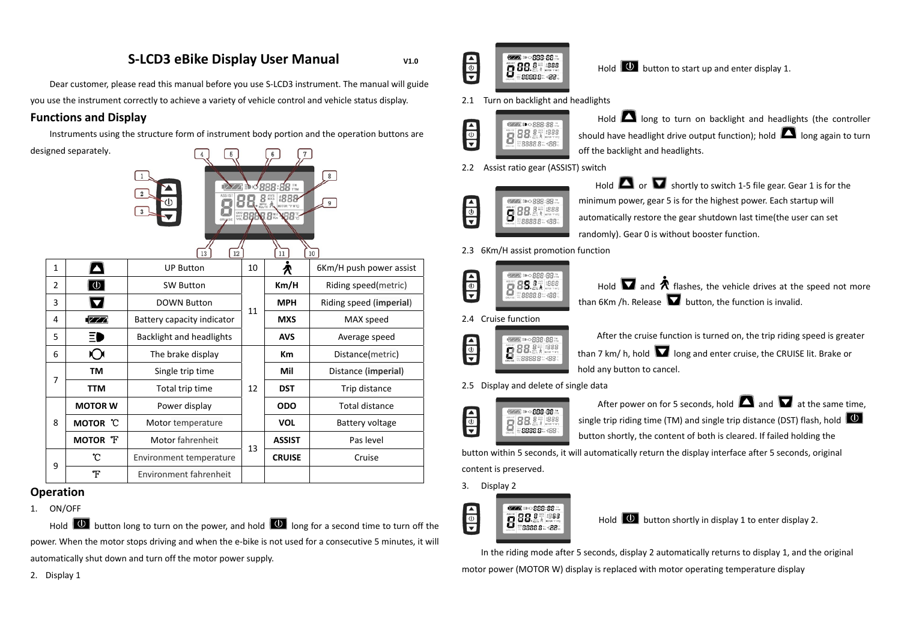# **S‐LCD3 eBike Display User Manual V1.0**

Dear customer, please read this manual before you use S‐LCD3 instrument. The manual will guide you use the instrument correctly to achieve <sup>a</sup> variety of vehicle control and vehicle status display.

### **Functions and Display**

Instruments using the structure form of instrument body portion and the operation buttons are

|                | designed separately. | 12<br>13                   |    | 888<br>11     | $\bf 8$<br>9<br>10      |
|----------------|----------------------|----------------------------|----|---------------|-------------------------|
| $\mathbf{1}$   | Ą                    | <b>UP Button</b>           | 10 | R             | 6Km/H push power assist |
| $\overline{c}$ | $\boxed{\oplus}$     | <b>SW Button</b>           |    | Km/H          | Riding speed(metric)    |
| 3              | 0                    | <b>DOWN Button</b>         | 11 | <b>MPH</b>    | Riding speed (imperial) |
| 4              | [777                 | Battery capacity indicator |    | <b>MXS</b>    | MAX speed               |
| 5              | ≣D                   | Backlight and headlights   |    | <b>AVS</b>    | Average speed           |
| 6              | O                    | The brake display          |    | Km            | Distance(metric)        |
| 7              | TM                   | Single trip time           |    | Mil           | Distance (imperial)     |
|                | <b>TTM</b>           | Total trip time            | 12 | <b>DST</b>    | Trip distance           |
|                | <b>MOTOR W</b>       | Power display              |    | <b>ODO</b>    | <b>Total distance</b>   |
| 8              | <b>MOTOR</b> C       | Motor temperature          |    | <b>VOL</b>    | Battery voltage         |
|                | MOTOR T              | Motor fahrenheit           | 13 | <b>ASSIST</b> | Pas level               |
| 9              | °C                   | Environment temperature    |    | <b>CRUISE</b> | Cruise                  |
|                | Ŧ                    | Environment fahrenheit     |    |               |                         |

## **Operation**

1. ON/OFF

Hold  $\Box$  button long to turn on the power, and hold  $\Box$  long for a second time to turn off the power. When the motor stops driving and when the <sup>e</sup>‐bike is not used for <sup>a</sup> consecutive 5 minutes, it will automatically shut down and turn off the motor power supply.

2. Display 1



Hold  $\Box$  button to start up and enter display 1.

2.1 Turn on backlight and headlights



Hold **Lea** long to turn on backlight and headlights (the controller should have headlight drive output function); hold  $\Box$  long again to turn off the backlight and headlights.

2.2 Assist ratio gear (ASSIST) switch



Hold  $\Box$  or  $\Box$  shortly to switch 1-5 file gear. Gear 1 is for the minimum power, gear 5 is for the highest power. Each startup will automatically restore the gear shutdown last time(the user can set randomly). Gear 0 is without booster function.

#### 2.3 6Km/H assist promotion function





2.4 Cruise function



After the cruise function is turned on, the trip riding speed is greater than 7 km/ h, hold  $\blacksquare$  long and enter cruise, the CRUISE lit. Brake or hold any button to cancel.

2.5 Display and delete of single data



After power on for 5 seconds, hold  $\Box$  and  $\Box$  at the same time, single trip riding time (TM) and single trip distance (DST) flash, hold  $\Box$ button shortly, the content of both is cleared. If failed holding the

button within 5 seconds, it will automatically return the display interface after 5 seconds, original

content is preserved.

3. Display 2



Hold  $\Box$  button shortly in display 1 to enter display 2.

In the riding mode after 5 seconds, display 2 automatically returns to display 1, and the original motor power (MOTOR W) display is replaced with motor operating temperature display